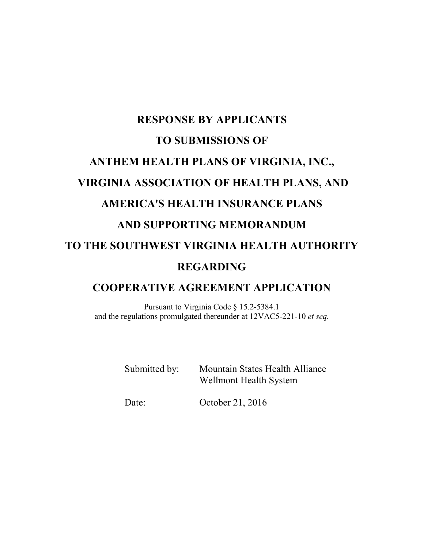# **RESPONSE BY APPLICANTS TO SUBMISSIONS OF ANTHEM HEALTH PLANS OF VIRGINIA, INC., VIRGINIA ASSOCIATION OF HEALTH PLANS, AND AMERICA'S HEALTH INSURANCE PLANS AND SUPPORTING MEMORANDUM TO THE SOUTHWEST VIRGINIA HEALTH AUTHORITY REGARDING**

# **COOPERATIVE AGREEMENT APPLICATION**

Pursuant to Virginia Code § 15.2-5384.1 and the regulations promulgated thereunder at 12VAC5-221-10 *et seq.*

> Submitted by: Mountain States Health Alliance Wellmont Health System

Date: October 21, 2016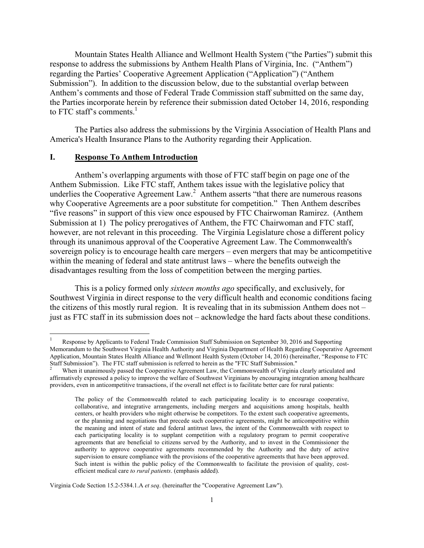Mountain States Health Alliance and Wellmont Health System ("the Parties") submit this response to address the submissions by Anthem Health Plans of Virginia, Inc. ("Anthem") regarding the Parties' Cooperative Agreement Application ("Application") ("Anthem Submission"). In addition to the discussion below, due to the substantial overlap between Anthem's comments and those of Federal Trade Commission staff submitted on the same day, the Parties incorporate herein by reference their submission dated October 14, 2016, responding to FTC staff's comments. $<sup>1</sup>$ </sup>

The Parties also address the submissions by the Virginia Association of Health Plans and America's Health Insurance Plans to the Authority regarding their Application.

#### **I. Response To Anthem Introduction**

 $\overline{a}$ 

Anthem's overlapping arguments with those of FTC staff begin on page one of the Anthem Submission. Like FTC staff, Anthem takes issue with the legislative policy that underlies the Cooperative Agreement Law.<sup>2</sup> Anthem asserts "that there are numerous reasons why Cooperative Agreements are a poor substitute for competition." Then Anthem describes "five reasons" in support of this view once espoused by FTC Chairwoman Ramirez. (Anthem Submission at 1) The policy prerogatives of Anthem, the FTC Chairwoman and FTC staff, however, are not relevant in this proceeding. The Virginia Legislature chose a different policy through its unanimous approval of the Cooperative Agreement Law. The Commonwealth's sovereign policy is to encourage health care mergers – even mergers that may be anticompetitive within the meaning of federal and state antitrust laws – where the benefits outweigh the disadvantages resulting from the loss of competition between the merging parties.

This is a policy formed only *sixteen months ago* specifically, and exclusively, for Southwest Virginia in direct response to the very difficult health and economic conditions facing the citizens of this mostly rural region. It is revealing that in its submission Anthem does not – just as FTC staff in its submission does not – acknowledge the hard facts about these conditions.

Virginia Code Section 15.2-5384.1.A *et seq*. (hereinafter the "Cooperative Agreement Law").

<sup>1</sup> Response by Applicants to Federal Trade Commission Staff Submission on September 30, 2016 and Supporting Memorandum to the Southwest Virginia Health Authority and Virginia Department of Health Regarding Cooperative Agreement Application, Mountain States Health Alliance and Wellmont Health System (October 14, 2016) (hereinafter, "Response to FTC Staff Submission"). The FTC staff submission is referred to herein as the "FTC Staff Submission."

<sup>2</sup> When it unanimously passed the Cooperative Agreement Law, the Commonwealth of Virginia clearly articulated and affirmatively expressed a policy to improve the welfare of Southwest Virginians by encouraging integration among healthcare providers, even in anticompetitive transactions, if the overall net effect is to facilitate better care for rural patients:

The policy of the Commonwealth related to each participating locality is to encourage cooperative, collaborative, and integrative arrangements, including mergers and acquisitions among hospitals, health centers, or health providers who might otherwise be competitors. To the extent such cooperative agreements, or the planning and negotiations that precede such cooperative agreements, might be anticompetitive within the meaning and intent of state and federal antitrust laws, the intent of the Commonwealth with respect to each participating locality is to supplant competition with a regulatory program to permit cooperative agreements that are beneficial to citizens served by the Authority, and to invest in the Commissioner the authority to approve cooperative agreements recommended by the Authority and the duty of active supervision to ensure compliance with the provisions of the cooperative agreements that have been approved. Such intent is within the public policy of the Commonwealth to facilitate the provision of quality, costefficient medical care *to rural patients*. (emphasis added).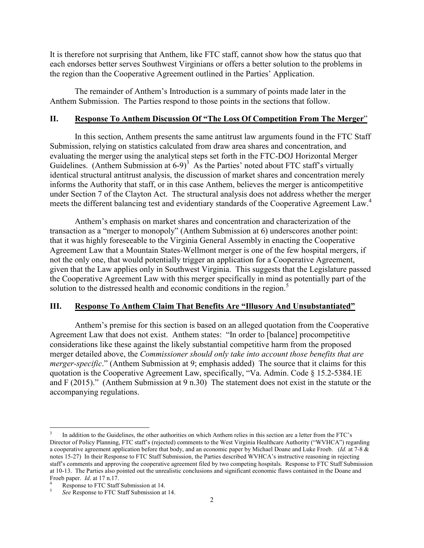It is therefore not surprising that Anthem, like FTC staff, cannot show how the status quo that each endorses better serves Southwest Virginians or offers a better solution to the problems in the region than the Cooperative Agreement outlined in the Parties' Application.

The remainder of Anthem's Introduction is a summary of points made later in the Anthem Submission. The Parties respond to those points in the sections that follow.

#### **II. Response To Anthem Discussion Of "The Loss Of Competition From The Merger**"

In this section, Anthem presents the same antitrust law arguments found in the FTC Staff Submission, relying on statistics calculated from draw area shares and concentration, and evaluating the merger using the analytical steps set forth in the FTC-DOJ Horizontal Merger Guidelines. (Anthem Submission at  $6-9$ )<sup>3</sup> As the Parties' noted about FTC staff's virtually identical structural antitrust analysis, the discussion of market shares and concentration merely informs the Authority that staff, or in this case Anthem, believes the merger is anticompetitive under Section 7 of the Clayton Act. The structural analysis does not address whether the merger meets the different balancing test and evidentiary standards of the Cooperative Agreement Law.<sup>4</sup>

Anthem's emphasis on market shares and concentration and characterization of the transaction as a "merger to monopoly" (Anthem Submission at 6) underscores another point: that it was highly foreseeable to the Virginia General Assembly in enacting the Cooperative Agreement Law that a Mountain States-Wellmont merger is one of the few hospital mergers, if not the only one, that would potentially trigger an application for a Cooperative Agreement, given that the Law applies only in Southwest Virginia. This suggests that the Legislature passed the Cooperative Agreement Law with this merger specifically in mind as potentially part of the solution to the distressed health and economic conditions in the region.<sup>5</sup>

### **III. Response To Anthem Claim That Benefits Are "Illusory And Unsubstantiated"**

 Anthem's premise for this section is based on an alleged quotation from the Cooperative Agreement Law that does not exist. Anthem states: "In order to [balance] procompetitive considerations like these against the likely substantial competitive harm from the proposed merger detailed above, the *Commissioner should only take into account those benefits that are merger-specific*." (Anthem Submission at 9; emphasis added) The source that it claims for this quotation is the Cooperative Agreement Law, specifically, "Va. Admin. Code § 15.2-5384.1E and F (2015)." (Anthem Submission at 9 n.30) The statement does not exist in the statute or the accompanying regulations.

 $\overline{\phantom{a}}$ 

<sup>3</sup> In addition to the Guidelines, the other authorities on which Anthem relies in this section are a letter from the FTC's Director of Policy Planning, FTC staff's (rejected) comments to the West Virginia Healthcare Authority ("WVHCA") regarding a cooperative agreement application before that body, and an economic paper by Michael Doane and Luke Froeb. (*Id.* at 7-8 & notes 15-27) In their Response to FTC Staff Submission, the Parties described WVHCA's instructive reasoning in rejecting staff's comments and approving the cooperative agreement filed by two competing hospitals. Response to FTC Staff Submission at 10-13. The Parties also pointed out the unrealistic conclusions and significant economic flaws contained in the Doane and Froeb paper. *Id.* at 17 n.17.

Response to FTC Staff Submission at 14.

<sup>5</sup> *See* Response to FTC Staff Submission at 14.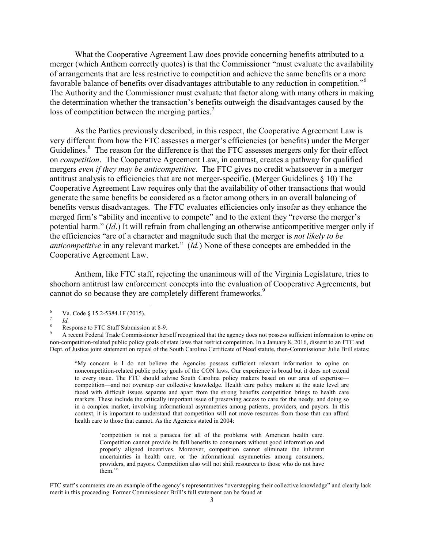What the Cooperative Agreement Law does provide concerning benefits attributed to a merger (which Anthem correctly quotes) is that the Commissioner "must evaluate the availability of arrangements that are less restrictive to competition and achieve the same benefits or a more favorable balance of benefits over disadvantages attributable to any reduction in competition."<sup>6</sup> The Authority and the Commissioner must evaluate that factor along with many others in making the determination whether the transaction's benefits outweigh the disadvantages caused by the loss of competition between the merging parties.<sup>7</sup>

 As the Parties previously described, in this respect, the Cooperative Agreement Law is very different from how the FTC assesses a merger's efficiencies (or benefits) under the Merger Guidelines.<sup>8</sup> The reason for the difference is that the FTC assesses mergers only for their effect on *competition*. The Cooperative Agreement Law, in contrast, creates a pathway for qualified mergers *even if they may be anticompetitive*. The FTC gives no credit whatsoever in a merger antitrust analysis to efficiencies that are not merger-specific. (Merger Guidelines § 10) The Cooperative Agreement Law requires only that the availability of other transactions that would generate the same benefits be considered as a factor among others in an overall balancing of benefits versus disadvantages. The FTC evaluates efficiencies only insofar as they enhance the merged firm's "ability and incentive to compete" and to the extent they "reverse the merger's potential harm." (*Id*.) It will refrain from challenging an otherwise anticompetitive merger only if the efficiencies "are of a character and magnitude such that the merger is *not likely to be anticompetitive* in any relevant market." (*Id.*) None of these concepts are embedded in the Cooperative Agreement Law.

Anthem, like FTC staff, rejecting the unanimous will of the Virginia Legislature, tries to shoehorn antitrust law enforcement concepts into the evaluation of Cooperative Agreements, but cannot do so because they are completely different frameworks.<sup>9</sup>

9 A recent Federal Trade Commissioner herself recognized that the agency does not possess sufficient information to opine on non-competition-related public policy goals of state laws that restrict competition. In a January 8, 2016, dissent to an FTC and Dept. of Justice joint statement on repeal of the South Carolina Certificate of Need statute, then-Commissioner Julie Brill states:

"My concern is I do not believe the Agencies possess sufficient relevant information to opine on noncompetition-related public policy goals of the CON laws. Our experience is broad but it does not extend to every issue. The FTC should advise South Carolina policy makers based on our area of expertise competition—and not overstep our collective knowledge. Health care policy makers at the state level are faced with difficult issues separate and apart from the strong benefits competition brings to health care markets. These include the critically important issue of preserving access to care for the needy, and doing so in a complex market, involving informational asymmetries among patients, providers, and payors. In this context, it is important to understand that competition will not move resources from those that can afford health care to those that cannot. As the Agencies stated in 2004:

'competition is not a panacea for all of the problems with American health care. Competition cannot provide its full benefits to consumers without good information and properly aligned incentives. Moreover, competition cannot eliminate the inherent uncertainties in health care, or the informational asymmetries among consumers, providers, and payors. Competition also will not shift resources to those who do not have them."

FTC staff's comments are an example of the agency's representatives "overstepping their collective knowledge" and clearly lack merit in this proceeding. Former Commissioner Brill's full statement can be found at

 $\frac{1}{6}$  Va. Code § 15.2-5384.1F (2015). 7

 $R^8$  *Id.* Response to FTC Staff Submission at 8-9.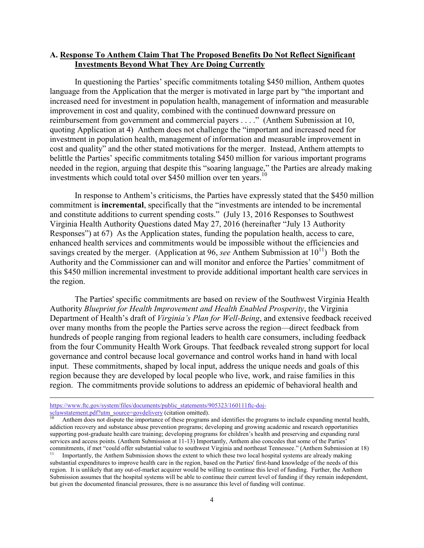#### **A. Response To Anthem Claim That The Proposed Benefits Do Not Reflect Significant Investments Beyond What They Are Doing Currently**

In questioning the Parties' specific commitments totaling \$450 million, Anthem quotes language from the Application that the merger is motivated in large part by "the important and increased need for investment in population health, management of information and measurable improvement in cost and quality, combined with the continued downward pressure on reimbursement from government and commercial payers . . . ." (Anthem Submission at 10, quoting Application at 4) Anthem does not challenge the "important and increased need for investment in population health, management of information and measurable improvement in cost and quality" and the other stated motivations for the merger. Instead, Anthem attempts to belittle the Parties' specific commitments totaling \$450 million for various important programs needed in the region, arguing that despite this "soaring language," the Parties are already making investments which could total over \$450 million over ten years.<sup>10</sup>

In response to Anthem's criticisms, the Parties have expressly stated that the \$450 million commitment is **incremental**, specifically that the "investments are intended to be incremental and constitute additions to current spending costs." (July 13, 2016 Responses to Southwest Virginia Health Authority Questions dated May 27, 2016 (hereinafter "July 13 Authority Responses") at 67) As the Application states, funding the population health, access to care, enhanced health services and commitments would be impossible without the efficiencies and savings created by the merger. (Application at 96, *see* Anthem Submission at  $10^{11}$ ) Both the Authority and the Commissioner can and will monitor and enforce the Parties' commitment of this \$450 million incremental investment to provide additional important health care services in the region.

The Parties' specific commitments are based on review of the Southwest Virginia Health Authority *Blueprint for Health Improvement and Health Enabled Prosperity*, the Virginia Department of Health's draft of *Virginia's Plan for Well-Being*, and extensive feedback received over many months from the people the Parties serve across the region—direct feedback from hundreds of people ranging from regional leaders to health care consumers, including feedback from the four Community Health Work Groups. That feedback revealed strong support for local governance and control because local governance and control works hand in hand with local input. These commitments, shaped by local input, address the unique needs and goals of this region because they are developed by local people who live, work, and raise families in this region. The commitments provide solutions to address an epidemic of behavioral health and

https://www.ftc.gov/system/files/documents/public\_statements/905323/160111ftc-doj-<br>sclawstatement.pdf?utm\_source=govdelivery (citation omitted).

Anthem does not dispute the importance of these programs and identifies the programs to include expanding mental health, addiction recovery and substance abuse prevention programs; developing and growing academic and research opportunities supporting post-graduate health care training; developing programs for children's health and preserving and expanding rural services and access points. (Anthem Submission at 11-13) Importantly, Anthem also concedes that some of the Parties' commitments, if met "could offer substantial value to southwest Virginia and northeast Tennessee." (Anthem Submission at 18)

<sup>11</sup> Importantly, the Anthem Submission shows the extent to which these two local hospital systems are already making substantial expenditures to improve health care in the region, based on the Parties' first-hand knowledge of the needs of this region. It is unlikely that any out-of-market acquirer would be willing to continue this level of funding. Further, the Anthem Submission assumes that the hospital systems will be able to continue their current level of funding if they remain independent, but given the documented financial pressures, there is no assurance this level of funding will continue.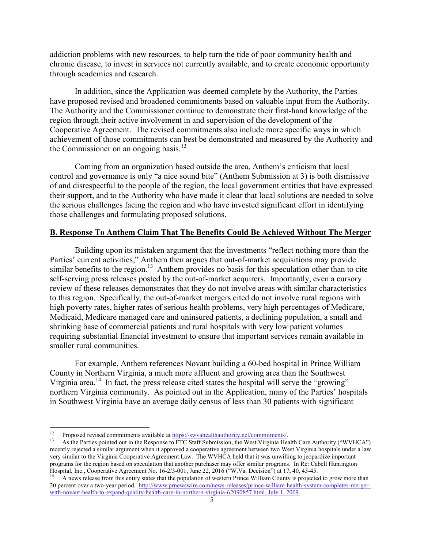addiction problems with new resources, to help turn the tide of poor community health and chronic disease, to invest in services not currently available, and to create economic opportunity through academics and research.

In addition, since the Application was deemed complete by the Authority, the Parties have proposed revised and broadened commitments based on valuable input from the Authority. The Authority and the Commissioner continue to demonstrate their first-hand knowledge of the region through their active involvement in and supervision of the development of the Cooperative Agreement. The revised commitments also include more specific ways in which achievement of those commitments can best be demonstrated and measured by the Authority and the Commissioner on an ongoing basis.<sup>12</sup>

Coming from an organization based outside the area, Anthem's criticism that local control and governance is only "a nice sound bite" (Anthem Submission at 3) is both dismissive of and disrespectful to the people of the region, the local government entities that have expressed their support, and to the Authority who have made it clear that local solutions are needed to solve the serious challenges facing the region and who have invested significant effort in identifying those challenges and formulating proposed solutions.

### **B. Response To Anthem Claim That The Benefits Could Be Achieved Without The Merger**

Building upon its mistaken argument that the investments "reflect nothing more than the Parties' current activities," Anthem then argues that out-of-market acquisitions may provide similar benefits to the region.<sup>13</sup> Anthem provides no basis for this speculation other than to cite self-serving press releases posted by the out-of-market acquirers. Importantly, even a cursory review of these releases demonstrates that they do not involve areas with similar characteristics to this region. Specifically, the out-of-market mergers cited do not involve rural regions with high poverty rates, higher rates of serious health problems, very high percentages of Medicare, Medicaid, Medicare managed care and uninsured patients, a declining population, a small and shrinking base of commercial patients and rural hospitals with very low patient volumes requiring substantial financial investment to ensure that important services remain available in smaller rural communities.

For example, Anthem references Novant building a 60-bed hospital in Prince William County in Northern Virginia, a much more affluent and growing area than the Southwest Virginia area.<sup>14</sup> In fact, the press release cited states the hospital will serve the "growing" northern Virginia community. As pointed out in the Application, many of the Parties' hospitals in Southwest Virginia have an average daily census of less than 30 patients with significant

 $12$ 

<sup>&</sup>lt;sup>12</sup> Proposed revised commitments available at  $\frac{https://swvahealthauthority.net/commitments/}{https://swvahealthauthority.net/commitments/}.$ <br><sup>13</sup> As the Parties pointed out in the Response to FTC Staff Submission, the West Virginia Health Care Authority ("WVHCA") recently rejected a similar argument when it approved a cooperative agreement between two West Virginia hospitals under a law very similar to the Virginia Cooperative Agreement Law. The WVHCA held that it was unwilling to jeopardize important programs for the region based on speculation that another purchaser may offer similar programs. In Re: Cabell Huntington Hospital, Inc., Cooperative Agreement No. 16-2/3-001, June 22, 2016 ("W.Va. Decision") at 17, 40, 43-45.

<sup>14</sup> A news release from this entity states that the population of western Prince William County is projected to grow more than 20 percent over a two-year period. http://www.prnewswire.com/news-releases/prince-william-health-system-completes-mergerwith-novant-health-to-expand-quality-health-care-in-northern-virginia-62090857.html, July 1, 2009.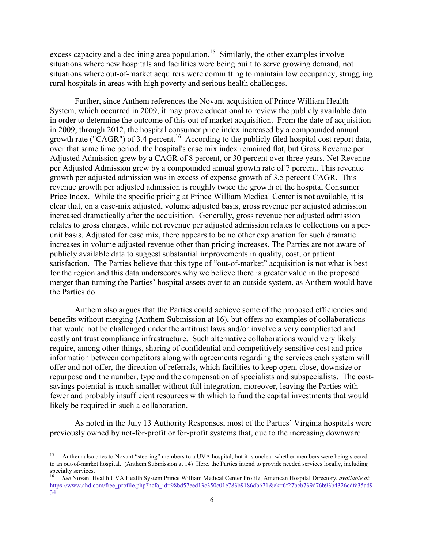excess capacity and a declining area population.<sup>15</sup> Similarly, the other examples involve situations where new hospitals and facilities were being built to serve growing demand, not situations where out-of-market acquirers were committing to maintain low occupancy, struggling rural hospitals in areas with high poverty and serious health challenges.

Further, since Anthem references the Novant acquisition of Prince William Health System, which occurred in 2009, it may prove educational to review the publicly available data in order to determine the outcome of this out of market acquisition. From the date of acquisition in 2009, through 2012, the hospital consumer price index increased by a compounded annual growth rate ("CAGR") of 3.4 percent.<sup>16</sup> According to the publicly filed hospital cost report data, over that same time period, the hospital's case mix index remained flat, but Gross Revenue per Adjusted Admission grew by a CAGR of 8 percent, or 30 percent over three years. Net Revenue per Adjusted Admission grew by a compounded annual growth rate of 7 percent. This revenue growth per adjusted admission was in excess of expense growth of 3.5 percent CAGR. This revenue growth per adjusted admission is roughly twice the growth of the hospital Consumer Price Index. While the specific pricing at Prince William Medical Center is not available, it is clear that, on a case-mix adjusted, volume adjusted basis, gross revenue per adjusted admission increased dramatically after the acquisition. Generally, gross revenue per adjusted admission relates to gross charges, while net revenue per adjusted admission relates to collections on a perunit basis. Adjusted for case mix, there appears to be no other explanation for such dramatic increases in volume adjusted revenue other than pricing increases. The Parties are not aware of publicly available data to suggest substantial improvements in quality, cost, or patient satisfaction. The Parties believe that this type of "out-of-market" acquisition is not what is best for the region and this data underscores why we believe there is greater value in the proposed merger than turning the Parties' hospital assets over to an outside system, as Anthem would have the Parties do.

Anthem also argues that the Parties could achieve some of the proposed efficiencies and benefits without merging (Anthem Submission at 16), but offers no examples of collaborations that would not be challenged under the antitrust laws and/or involve a very complicated and costly antitrust compliance infrastructure. Such alternative collaborations would very likely require, among other things, sharing of confidential and competitively sensitive cost and price information between competitors along with agreements regarding the services each system will offer and not offer, the direction of referrals, which facilities to keep open, close, downsize or repurpose and the number, type and the compensation of specialists and subspecialists. The costsavings potential is much smaller without full integration, moreover, leaving the Parties with fewer and probably insufficient resources with which to fund the capital investments that would likely be required in such a collaboration.

As noted in the July 13 Authority Responses, most of the Parties' Virginia hospitals were previously owned by not-for-profit or for-profit systems that, due to the increasing downward

 $\overline{\phantom{a}}$ 

<sup>15</sup> Anthem also cites to Novant "steering" members to a UVA hospital, but it is unclear whether members were being steered to an out-of-market hospital. (Anthem Submission at 14) Here, the Parties intend to provide needed services locally, including specialty services.

<sup>16</sup> *See* Novant Health UVA Health System Prince William Medical Center Profile, American Hospital Directory, *available at*: https://www.ahd.com/free\_profile.php?hcfa\_id=98bd57eed13c350c01e783b9186db671&ek=6f27bcb739d76b93b4326cdfc35ad9 34.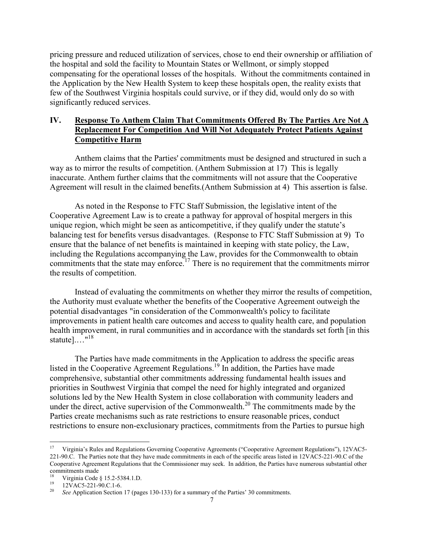pricing pressure and reduced utilization of services, chose to end their ownership or affiliation of the hospital and sold the facility to Mountain States or Wellmont, or simply stopped compensating for the operational losses of the hospitals. Without the commitments contained in the Application by the New Health System to keep these hospitals open, the reality exists that few of the Southwest Virginia hospitals could survive, or if they did, would only do so with significantly reduced services.

# **IV. Response To Anthem Claim That Commitments Offered By The Parties Are Not A Replacement For Competition And Will Not Adequately Protect Patients Against Competitive Harm**

 Anthem claims that the Parties' commitments must be designed and structured in such a way as to mirror the results of competition. (Anthem Submission at 17) This is legally inaccurate. Anthem further claims that the commitments will not assure that the Cooperative Agreement will result in the claimed benefits.(Anthem Submission at 4) This assertion is false.

 As noted in the Response to FTC Staff Submission, the legislative intent of the Cooperative Agreement Law is to create a pathway for approval of hospital mergers in this unique region, which might be seen as anticompetitive, if they qualify under the statute's balancing test for benefits versus disadvantages. (Response to FTC Staff Submission at 9) To ensure that the balance of net benefits is maintained in keeping with state policy, the Law, including the Regulations accompanying the Law, provides for the Commonwealth to obtain commitments that the state may enforce.<sup>17</sup> There is no requirement that the commitments mirror the results of competition.

 Instead of evaluating the commitments on whether they mirror the results of competition, the Authority must evaluate whether the benefits of the Cooperative Agreement outweigh the potential disadvantages "in consideration of the Commonwealth's policy to facilitate improvements in patient health care outcomes and access to quality health care, and population health improvement, in rural communities and in accordance with the standards set forth [in this statute $\frac{1}{10}$ ..."<sup>18</sup>

 The Parties have made commitments in the Application to address the specific areas listed in the Cooperative Agreement Regulations.19 In addition, the Parties have made comprehensive, substantial other commitments addressing fundamental health issues and priorities in Southwest Virginia that compel the need for highly integrated and organized solutions led by the New Health System in close collaboration with community leaders and under the direct, active supervision of the Commonwealth.<sup>20</sup> The commitments made by the Parties create mechanisms such as rate restrictions to ensure reasonable prices, conduct restrictions to ensure non-exclusionary practices, commitments from the Parties to pursue high

<sup>17</sup> Virginia's Rules and Regulations Governing Cooperative Agreements ("Cooperative Agreement Regulations"), 12VAC5- 221-90.C. The Parties note that they have made commitments in each of the specific areas listed in 12VAC5-221-90.C of the Cooperative Agreement Regulations that the Commissioner may seek. In addition, the Parties have numerous substantial other commitments made

<sup>&</sup>lt;sup>18</sup> Virginia Code § 15.2-5384.1.D.

 $^{19}$  12VAC5-221-90.C.1-6.

See Application Section 17 (pages 130-133) for a summary of the Parties' 30 commitments.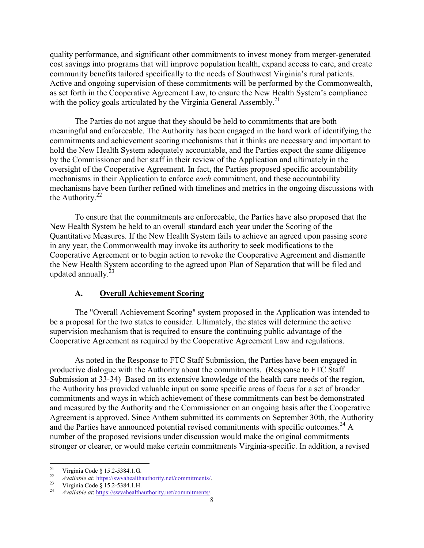quality performance, and significant other commitments to invest money from merger-generated cost savings into programs that will improve population health, expand access to care, and create community benefits tailored specifically to the needs of Southwest Virginia's rural patients. Active and ongoing supervision of these commitments will be performed by the Commonwealth, as set forth in the Cooperative Agreement Law, to ensure the New Health System's compliance with the policy goals articulated by the Virginia General Assembly.<sup>21</sup>

 The Parties do not argue that they should be held to commitments that are both meaningful and enforceable. The Authority has been engaged in the hard work of identifying the commitments and achievement scoring mechanisms that it thinks are necessary and important to hold the New Health System adequately accountable, and the Parties expect the same diligence by the Commissioner and her staff in their review of the Application and ultimately in the oversight of the Cooperative Agreement. In fact, the Parties proposed specific accountability mechanisms in their Application to enforce *each* commitment, and these accountability mechanisms have been further refined with timelines and metrics in the ongoing discussions with the Authority. $22$ 

 To ensure that the commitments are enforceable, the Parties have also proposed that the New Health System be held to an overall standard each year under the Scoring of the Quantitative Measures. If the New Health System fails to achieve an agreed upon passing score in any year, the Commonwealth may invoke its authority to seek modifications to the Cooperative Agreement or to begin action to revoke the Cooperative Agreement and dismantle the New Health System according to the agreed upon Plan of Separation that will be filed and updated annually. $^{23}$ 

#### **A. Overall Achievement Scoring**

 The "Overall Achievement Scoring" system proposed in the Application was intended to be a proposal for the two states to consider. Ultimately, the states will determine the active supervision mechanism that is required to ensure the continuing public advantage of the Cooperative Agreement as required by the Cooperative Agreement Law and regulations.

 As noted in the Response to FTC Staff Submission, the Parties have been engaged in productive dialogue with the Authority about the commitments. (Response to FTC Staff Submission at 33-34) Based on its extensive knowledge of the health care needs of the region, the Authority has provided valuable input on some specific areas of focus for a set of broader commitments and ways in which achievement of these commitments can best be demonstrated and measured by the Authority and the Commissioner on an ongoing basis after the Cooperative Agreement is approved. Since Anthem submitted its comments on September 30th, the Authority and the Parties have announced potential revised commitments with specific outcomes.<sup>24</sup> A number of the proposed revisions under discussion would make the original commitments stronger or clearer, or would make certain commitments Virginia-specific. In addition, a revised

<sup>21</sup> <sup>21</sup> Virginia Code § 15.2-5384.1.G.

<sup>&</sup>lt;sup>22</sup> *Available at:* https://swvahealthauthority.net/commitments/<br><sup>23</sup> Virginia Code § 15.2-5384.1.H.

<sup>24</sup> *Available at*: https://swvahealthauthority.net/commitments/.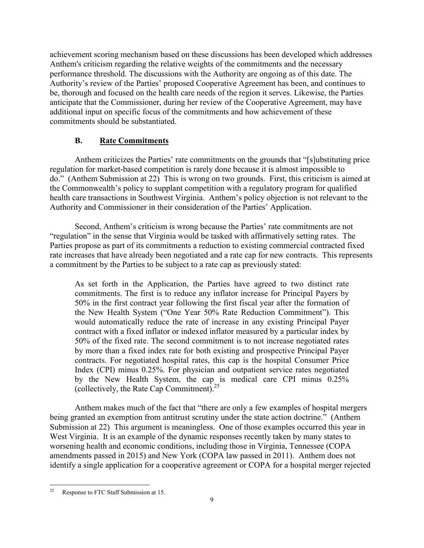achievement scoring mechanism based on these discussions has been developed which addresses Anthem's criticism regarding the relative weights of the commitments and the necessary performance threshold. The discussions with the Authority are ongoing as of this date. The Authority's review of the Parties' proposed Cooperative Agreement has been, and continues to be, thorough and focused on the health care needs of the region it serves. Likewise, the Parties anticipate that the Commissioner, during her review of the Cooperative Agreement, may have additional input on specific focus of the commitments and how achievement of these commitments should be substantiated.

# **B. Rate Commitments**

 Anthem criticizes the Parties' rate commitments on the grounds that "[s]ubstituting price regulation for market-based competition is rarely done because it is almost impossible to do." (Anthem Submission at 22) This is wrong on two grounds. First, this criticism is aimed at the Commonwealth's policy to supplant competition with a regulatory program for qualified health care transactions in Southwest Virginia. Anthem's policy objection is not relevant to the Authority and Commissioner in their consideration of the Parties' Application.

 Second, Anthem's criticism is wrong because the Parties' rate commitments are not "regulation" in the sense that Virginia would be tasked with affirmatively setting rates. The Parties propose as part of its commitments a reduction to existing commercial contracted fixed rate increases that have already been negotiated and a rate cap for new contracts. This represents a commitment by the Parties to be subject to a rate cap as previously stated:

As set forth in the Application, the Parties have agreed to two distinct rate commitments. The first is to reduce any inflator increase for Principal Payers by 50% in the first contract year following the first fiscal year after the formation of the New Health System ("One Year 50% Rate Reduction Commitment"). This would automatically reduce the rate of increase in any existing Principal Payer contract with a fixed inflator or indexed inflator measured by a particular index by 50% of the fixed rate. The second commitment is to not increase negotiated rates by more than a fixed index rate for both existing and prospective Principal Payer contracts. For negotiated hospital rates, this cap is the hospital Consumer Price Index (CPI) minus 0.25%. For physician and outpatient service rates negotiated by the New Health System, the cap is medical care CPI minus 0.25% (collectively, the Rate Cap Commitment).25

 Anthem makes much of the fact that "there are only a few examples of hospital mergers being granted an exemption from antitrust scrutiny under the state action doctrine." (Anthem Submission at 22) This argument is meaningless. One of those examples occurred this year in West Virginia. It is an example of the dynamic responses recently taken by many states to worsening health and economic conditions, including those in Virginia, Tennessee (COPA amendments passed in 2015) and New York (COPA law passed in 2011). Anthem does not identify a single application for a cooperative agreement or COPA for a hospital merger rejected

<sup>25</sup> 25 Response to FTC Staff Submission at 15.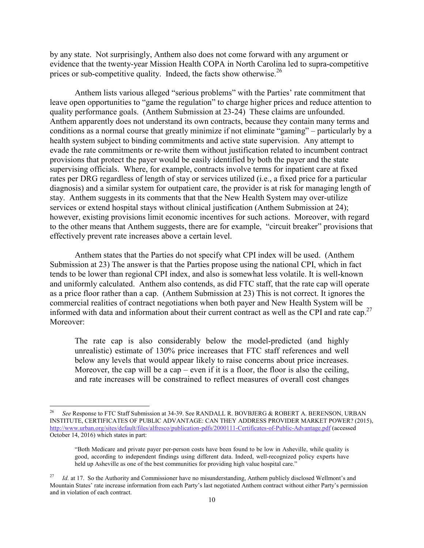by any state. Not surprisingly, Anthem also does not come forward with any argument or evidence that the twenty-year Mission Health COPA in North Carolina led to supra-competitive prices or sub-competitive quality. Indeed, the facts show otherwise.<sup>26</sup>

 Anthem lists various alleged "serious problems" with the Parties' rate commitment that leave open opportunities to "game the regulation" to charge higher prices and reduce attention to quality performance goals. (Anthem Submission at 23-24) These claims are unfounded. Anthem apparently does not understand its own contracts, because they contain many terms and conditions as a normal course that greatly minimize if not eliminate "gaming" – particularly by a health system subject to binding commitments and active state supervision. Any attempt to evade the rate commitments or re-write them without justification related to incumbent contract provisions that protect the payer would be easily identified by both the payer and the state supervising officials. Where, for example, contracts involve terms for inpatient care at fixed rates per DRG regardless of length of stay or services utilized (i.e., a fixed price for a particular diagnosis) and a similar system for outpatient care, the provider is at risk for managing length of stay. Anthem suggests in its comments that that the New Health System may over-utilize services or extend hospital stays without clinical justification (Anthem Submission at 24); however, existing provisions limit economic incentives for such actions. Moreover, with regard to the other means that Anthem suggests, there are for example, "circuit breaker" provisions that effectively prevent rate increases above a certain level.

 Anthem states that the Parties do not specify what CPI index will be used. (Anthem Submission at 23) The answer is that the Parties propose using the national CPI, which in fact tends to be lower than regional CPI index, and also is somewhat less volatile. It is well-known and uniformly calculated. Anthem also contends, as did FTC staff, that the rate cap will operate as a price floor rather than a cap. (Anthem Submission at 23) This is not correct. It ignores the commercial realities of contract negotiations when both payer and New Health System will be informed with data and information about their current contract as well as the CPI and rate cap.<sup>27</sup> Moreover:

The rate cap is also considerably below the model-predicted (and highly unrealistic) estimate of 130% price increases that FTC staff references and well below any levels that would appear likely to raise concerns about price increases. Moreover, the cap will be a cap – even if it is a floor, the floor is also the ceiling, and rate increases will be constrained to reflect measures of overall cost changes

1

<sup>26</sup> *See* Response to FTC Staff Submission at 34-39. See RANDALL R. BOVBJERG & ROBERT A. BERENSON, URBAN INSTITUTE, CERTIFICATES OF PUBLIC ADVANTAGE: CAN THEY ADDRESS PROVIDER MARKET POWER? (2015), http://www.urban.org/sites/default/files/alfresco/publication-pdfs/2000111-Certificates-of-Public-Advantage.pdf (accessed October 14, 2016) which states in part:

<sup>&</sup>quot;Both Medicare and private payer per-person costs have been found to be low in Asheville, while quality is good, according to independent findings using different data. Indeed, well-recognized policy experts have held up Asheville as one of the best communities for providing high value hospital care."

<sup>&</sup>lt;sup>27</sup> *Id.* at 17. So the Authority and Commissioner have no misunderstanding, Anthem publicly disclosed Wellmont's and Mountain States' rate increase information from each Party's last negotiated Anthem contract without either Party's permission and in violation of each contract.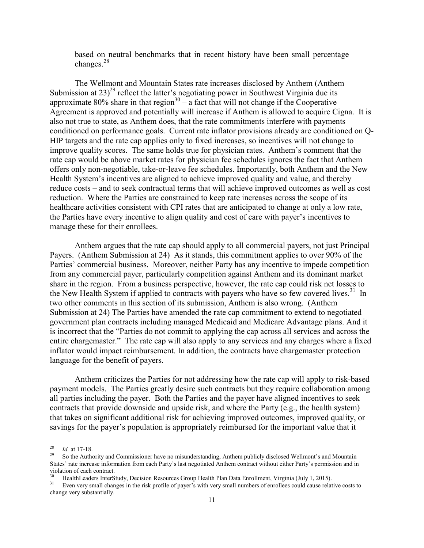based on neutral benchmarks that in recent history have been small percentage changes.<sup>28</sup>

 The Wellmont and Mountain States rate increases disclosed by Anthem (Anthem Submission at  $23)^{29}$  reflect the latter's negotiating power in Southwest Virginia due its approximate 80% share in that region<sup>30</sup> – a fact that will not change if the Cooperative Agreement is approved and potentially will increase if Anthem is allowed to acquire Cigna. It is also not true to state, as Anthem does, that the rate commitments interfere with payments conditioned on performance goals. Current rate inflator provisions already are conditioned on Q-HIP targets and the rate cap applies only to fixed increases, so incentives will not change to improve quality scores. The same holds true for physician rates. Anthem's comment that the rate cap would be above market rates for physician fee schedules ignores the fact that Anthem offers only non-negotiable, take-or-leave fee schedules. Importantly, both Anthem and the New Health System's incentives are aligned to achieve improved quality and value, and thereby reduce costs – and to seek contractual terms that will achieve improved outcomes as well as cost reduction. Where the Parties are constrained to keep rate increases across the scope of its healthcare activities consistent with CPI rates that are anticipated to change at only a low rate, the Parties have every incentive to align quality and cost of care with payer's incentives to manage these for their enrollees.

 Anthem argues that the rate cap should apply to all commercial payers, not just Principal Payers. (Anthem Submission at 24) As it stands, this commitment applies to over 90% of the Parties' commercial business. Moreover, neither Party has any incentive to impede competition from any commercial payer, particularly competition against Anthem and its dominant market share in the region. From a business perspective, however, the rate cap could risk net losses to the New Health System if applied to contracts with payers who have so few covered lives.<sup>31</sup> In two other comments in this section of its submission, Anthem is also wrong. (Anthem Submission at 24) The Parties have amended the rate cap commitment to extend to negotiated government plan contracts including managed Medicaid and Medicare Advantage plans. And it is incorrect that the "Parties do not commit to applying the cap across all services and across the entire chargemaster." The rate cap will also apply to any services and any charges where a fixed inflator would impact reimbursement. In addition, the contracts have chargemaster protection language for the benefit of payers.

 Anthem criticizes the Parties for not addressing how the rate cap will apply to risk-based payment models. The Parties greatly desire such contracts but they require collaboration among all parties including the payer. Both the Parties and the payer have aligned incentives to seek contracts that provide downside and upside risk, and where the Party (e.g., the health system) that takes on significant additional risk for achieving improved outcomes, improved quality, or savings for the payer's population is appropriately reimbursed for the important value that it

-

<sup>&</sup>lt;sup>28</sup> *Id.* at 17-18.<br><sup>29</sup> So the Authority and Commissioner have no misunderstanding, Anthem publicly disclosed Wellmont's and Mountain States' rate increase information from each Party's last negotiated Anthem contract without either Party's permission and in violation of each contract.

<sup>&</sup>lt;sup>30</sup> HealthLeaders InterStudy, Decision Resources Group Health Plan Data Enrollment, Virginia (July 1, 2015).<br><sup>31</sup> Even very small changes in the risk profile of paver's with very small numbers of enrollees could cause re

Even very small changes in the risk profile of payer's with very small numbers of enrollees could cause relative costs to change very substantially.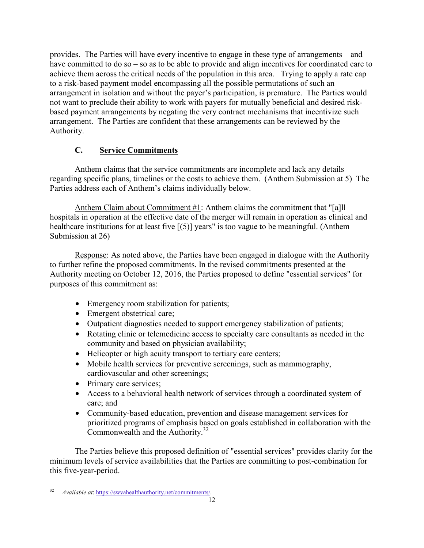provides. The Parties will have every incentive to engage in these type of arrangements – and have committed to do so – so as to be able to provide and align incentives for coordinated care to achieve them across the critical needs of the population in this area. Trying to apply a rate cap to a risk-based payment model encompassing all the possible permutations of such an arrangement in isolation and without the payer's participation, is premature. The Parties would not want to preclude their ability to work with payers for mutually beneficial and desired riskbased payment arrangements by negating the very contract mechanisms that incentivize such arrangement. The Parties are confident that these arrangements can be reviewed by the Authority.

# **C. Service Commitments**

 Anthem claims that the service commitments are incomplete and lack any details regarding specific plans, timelines or the costs to achieve them. (Anthem Submission at 5) The Parties address each of Anthem's claims individually below.

Anthem Claim about Commitment #1: Anthem claims the commitment that "[a]ll hospitals in operation at the effective date of the merger will remain in operation as clinical and healthcare institutions for at least five [(5)] years" is too vague to be meaningful. (Anthem Submission at 26)

 Response: As noted above, the Parties have been engaged in dialogue with the Authority to further refine the proposed commitments. In the revised commitments presented at the Authority meeting on October 12, 2016, the Parties proposed to define "essential services" for purposes of this commitment as:

- Emergency room stabilization for patients;
- Emergent obstetrical care;
- Outpatient diagnostics needed to support emergency stabilization of patients;
- Rotating clinic or telemedicine access to specialty care consultants as needed in the community and based on physician availability;
- Helicopter or high acuity transport to tertiary care centers;
- Mobile health services for preventive screenings, such as mammography, cardiovascular and other screenings;
- Primary care services;
- Access to a behavioral health network of services through a coordinated system of care; and
- Community-based education, prevention and disease management services for prioritized programs of emphasis based on goals established in collaboration with the Commonwealth and the Authority.32

 The Parties believe this proposed definition of "essential services" provides clarity for the minimum levels of service availabilities that the Parties are committing to post-combination for this five-year-period.

 $32$ 32 *Available at*: https://swvahealthauthority.net/commitments/.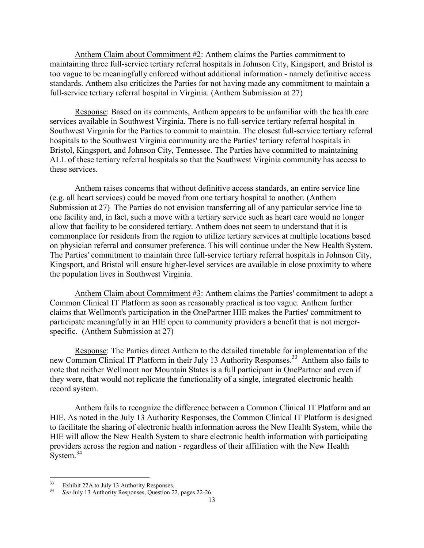Anthem Claim about Commitment #2: Anthem claims the Parties commitment to maintaining three full-service tertiary referral hospitals in Johnson City, Kingsport, and Bristol is too vague to be meaningfully enforced without additional information - namely definitive access standards. Anthem also criticizes the Parties for not having made any commitment to maintain a full-service tertiary referral hospital in Virginia. (Anthem Submission at 27)

 Response: Based on its comments, Anthem appears to be unfamiliar with the health care services available in Southwest Virginia. There is no full-service tertiary referral hospital in Southwest Virginia for the Parties to commit to maintain. The closest full-service tertiary referral hospitals to the Southwest Virginia community are the Parties' tertiary referral hospitals in Bristol, Kingsport, and Johnson City, Tennessee. The Parties have committed to maintaining ALL of these tertiary referral hospitals so that the Southwest Virginia community has access to these services.

 Anthem raises concerns that without definitive access standards, an entire service line (e.g. all heart services) could be moved from one tertiary hospital to another. (Anthem Submission at 27) The Parties do not envision transferring all of any particular service line to one facility and, in fact, such a move with a tertiary service such as heart care would no longer allow that facility to be considered tertiary. Anthem does not seem to understand that it is commonplace for residents from the region to utilize tertiary services at multiple locations based on physician referral and consumer preference. This will continue under the New Health System. The Parties' commitment to maintain three full-service tertiary referral hospitals in Johnson City, Kingsport, and Bristol will ensure higher-level services are available in close proximity to where the population lives in Southwest Virginia.

 Anthem Claim about Commitment #3: Anthem claims the Parties' commitment to adopt a Common Clinical IT Platform as soon as reasonably practical is too vague. Anthem further claims that Wellmont's participation in the OnePartner HIE makes the Parties' commitment to participate meaningfully in an HIE open to community providers a benefit that is not mergerspecific. (Anthem Submission at 27)

 Response: The Parties direct Anthem to the detailed timetable for implementation of the new Common Clinical IT Platform in their July 13 Authority Responses.<sup>33</sup> Anthem also fails to note that neither Wellmont nor Mountain States is a full participant in OnePartner and even if they were, that would not replicate the functionality of a single, integrated electronic health record system.

 Anthem fails to recognize the difference between a Common Clinical IT Platform and an HIE. As noted in the July 13 Authority Responses, the Common Clinical IT Platform is designed to facilitate the sharing of electronic health information across the New Health System, while the HIE will allow the New Health System to share electronic health information with participating providers across the region and nation - regardless of their affiliation with the New Health System.<sup>34</sup>

 $33<sup>°</sup>$  $^{33}$  Exhibit 22A to July 13 Authority Responses.

<sup>34</sup> *See* July 13 Authority Responses, Question 22, pages 22-26.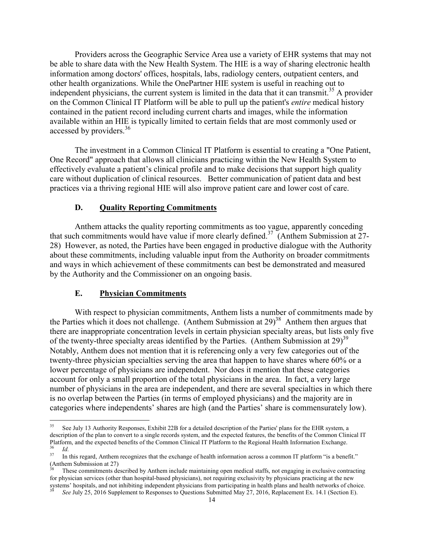Providers across the Geographic Service Area use a variety of EHR systems that may not be able to share data with the New Health System. The HIE is a way of sharing electronic health information among doctors' offices, hospitals, labs, radiology centers, outpatient centers, and other health organizations. While the OnePartner HIE system is useful in reaching out to independent physicians, the current system is limited in the data that it can transmit.<sup>35</sup> A provider on the Common Clinical IT Platform will be able to pull up the patient's *entire* medical history contained in the patient record including current charts and images, while the information available within an HIE is typically limited to certain fields that are most commonly used or accessed by providers.<sup>36</sup>

 The investment in a Common Clinical IT Platform is essential to creating a "One Patient, One Record" approach that allows all clinicians practicing within the New Health System to effectively evaluate a patient's clinical profile and to make decisions that support high quality care without duplication of clinical resources. Better communication of patient data and best practices via a thriving regional HIE will also improve patient care and lower cost of care.

#### **D. Quality Reporting Commitments**

 Anthem attacks the quality reporting commitments as too vague, apparently conceding that such commitments would have value if more clearly defined.<sup>37</sup> (Anthem Submission at  $27$ -28) However, as noted, the Parties have been engaged in productive dialogue with the Authority about these commitments, including valuable input from the Authority on broader commitments and ways in which achievement of these commitments can best be demonstrated and measured by the Authority and the Commissioner on an ongoing basis.

## **E. Physician Commitments**

 With respect to physician commitments, Anthem lists a number of commitments made by the Parties which it does not challenge. (Anthem Submission at  $29<sup>38</sup>$  Anthem then argues that there are inappropriate concentration levels in certain physician specialty areas, but lists only five of the twenty-three specialty areas identified by the Parties. (Anthem Submission at  $29<sup>39</sup>$ ) Notably, Anthem does not mention that it is referencing only a very few categories out of the twenty-three physician specialties serving the area that happen to have shares where 60% or a lower percentage of physicians are independent. Nor does it mention that these categories account for only a small proportion of the total physicians in the area. In fact, a very large number of physicians in the area are independent, and there are several specialties in which there is no overlap between the Parties (in terms of employed physicians) and the majority are in categories where independents' shares are high (and the Parties' share is commensurately low).

 $35\,$ See July 13 Authority Responses, Exhibit 22B for a detailed description of the Parties' plans for the EHR system, a description of the plan to convert to a single records system, and the expected features, the benefits of the Common Clinical IT Platform, and the expected benefits of the Common Clinical IT Platform to the Regional Health Information Exchange.<br>
Id.

<sup>&</sup>lt;sup>37</sup> In this regard, Anthem recognizes that the exchange of health information across a common IT platform "is a benefit." (Anthem Submission at 27)

These commitments described by Anthem include maintaining open medical staffs, not engaging in exclusive contracting for physician services (other than hospital-based physicians), not requiring exclusivity by physicians practicing at the new systems' hospitals, and not inhibiting independent physicians from participating in health plans

See July 25, 2016 Supplement to Responses to Questions Submitted May 27, 2016, Replacement Ex. 14.1 (Section E).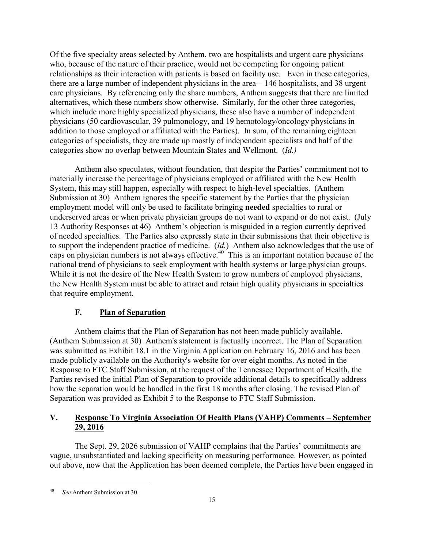Of the five specialty areas selected by Anthem, two are hospitalists and urgent care physicians who, because of the nature of their practice, would not be competing for ongoing patient relationships as their interaction with patients is based on facility use. Even in these categories, there are a large number of independent physicians in the area – 146 hospitalists, and 38 urgent care physicians. By referencing only the share numbers, Anthem suggests that there are limited alternatives, which these numbers show otherwise. Similarly, for the other three categories, which include more highly specialized physicians, these also have a number of independent physicians (50 cardiovascular, 39 pulmonology, and 19 hemotology/oncology physicians in addition to those employed or affiliated with the Parties). In sum, of the remaining eighteen categories of specialists, they are made up mostly of independent specialists and half of the categories show no overlap between Mountain States and Wellmont. (*Id.)* 

Anthem also speculates, without foundation, that despite the Parties' commitment not to materially increase the percentage of physicians employed or affiliated with the New Health System, this may still happen, especially with respect to high-level specialties. (Anthem Submission at 30) Anthem ignores the specific statement by the Parties that the physician employment model will only be used to facilitate bringing **needed** specialties to rural or underserved areas or when private physician groups do not want to expand or do not exist. (July 13 Authority Responses at 46) Anthem's objection is misguided in a region currently deprived of needed specialties. The Parties also expressly state in their submissions that their objective is to support the independent practice of medicine. (*Id.*) Anthem also acknowledges that the use of caps on physician numbers is not always effective.<sup>40</sup> This is an important notation because of the national trend of physicians to seek employment with health systems or large physician groups. While it is not the desire of the New Health System to grow numbers of employed physicians, the New Health System must be able to attract and retain high quality physicians in specialties that require employment.

# **F. Plan of Separation**

 Anthem claims that the Plan of Separation has not been made publicly available. (Anthem Submission at 30) Anthem's statement is factually incorrect. The Plan of Separation was submitted as Exhibit 18.1 in the Virginia Application on February 16, 2016 and has been made publicly available on the Authority's website for over eight months. As noted in the Response to FTC Staff Submission, at the request of the Tennessee Department of Health, the Parties revised the initial Plan of Separation to provide additional details to specifically address how the separation would be handled in the first 18 months after closing. The revised Plan of Separation was provided as Exhibit 5 to the Response to FTC Staff Submission.

# **V. Response To Virginia Association Of Health Plans (VAHP) Comments – September 29, 2016**

 The Sept. 29, 2026 submission of VAHP complains that the Parties' commitments are vague, unsubstantiated and lacking specificity on measuring performance. However, as pointed out above, now that the Application has been deemed complete, the Parties have been engaged in

<sup>40</sup> 40 *See* Anthem Submission at 30.